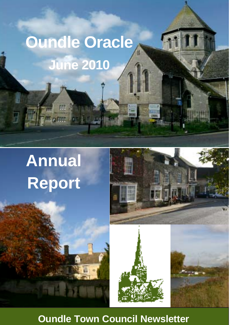# **Oundle Oracle June 2010**

 $27.11$ 

# **Annual Report**

**III** 

**OC GATES** 



'n

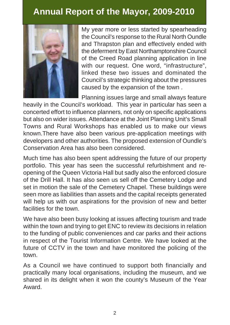# **Annual Report of the Mayor, 2009-2010**



My year more or less started by spearheading the Council's response to the Rural North Oundle and Thrapston plan and effectively ended with the deferment by East Northamptonshire Council of the Creed Road planning application in line with our request. One word, "infrastructure", linked these two issues and dominated the Council's strategic thinking about the pressures caused by the expansion of the town .

Planning issues large and small always feature

heavily in the Council's workload. This year in particular has seen a concerted effort to influence planners, not only on specific applications but also on wider issues. Attendance at the Joint Planning Unit's Small Towns and Rural Workshops has enabled us to make our views known.There have also been various pre-application meetings with developers and other authorities. The proposed extension of Oundle's Conservation Area has also been considered.

Much time has also been spent addressing the future of our property portfolio. This year has seen the successful refurbishment and reopening of the Queen Victoria Hall but sadly also the enforced closure of the Drill Hall. It has also seen us sell off the Cemetery Lodge and set in motion the sale of the Cemetery Chapel. These buildings were seen more as liabilities than assets and the capital receipts generated will help us with our aspirations for the provision of new and better facilities for the town.

We have also been busy looking at issues affecting tourism and trade within the town and trying to get ENC to review its decisions in relation to the funding of public conveniences and car parks and their actions in respect of the Tourist Information Centre. We have looked at the future of CCTV in the town and have monitored the policing of the town.

As a Council we have continued to support both financially and practically many local organisations, including the museum, and we shared in its delight when it won the county's Museum of the Year Award.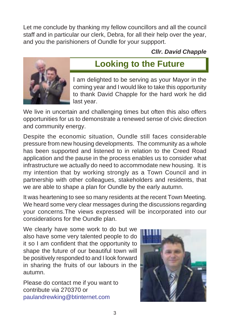Let me conclude by thanking my fellow councillors and all the council staff and in particular our clerk, Debra, for all their help over the year, and you the parishioners of Oundle for your suppport.

*Cllr. David Chapple*



# **Looking to the Future**

I am delighted to be serving as your Mayor in the coming year and I would like to take this opportunity to thank David Chapple for the hard work he did last year.

We live in uncertain and challenging times but often this also offers opportunities for us to demonstrate a renewed sense of civic direction and community energy.

Despite the economic situation, Oundle still faces considerable pressure from new housing developments. The community as a whole has been supported and listened to in relation to the Creed Road application and the pause in the process enables us to consider what infrastructure we actually do need to accommodate new housing. It is my intention that by working strongly as a Town Council and in partnership with other colleagues, stakeholders and residents, that we are able to shape a plan for Oundle by the early autumn.

It was heartening to see so many residents at the recent Town Meeting. We heard some very clear messages during the discussions regarding your concerns.The views expressed will be incorporated into our considerations for the Oundle plan.

We clearly have some work to do but we also have some very talented people to do it so I am confident that the opportunity to shape the future of our beautiful town will be positively responded to and I look forward in sharing the fruits of our labours in the autumn.

Please do contact me if you want to contribute via 270370 or paulandrewking@btinternet.com

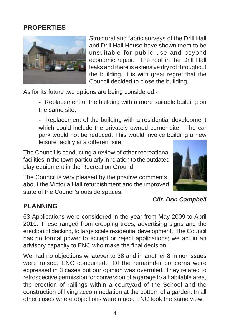### **PROPERTIES**



Structural and fabric surveys of the Drill Hall and Drill Hall House have shown them to be unsuitable for public use and beyond economic repair. The roof in the Drill Hall leaks and there is extensive dry rot throughout the building. It is with great regret that the Council decided to close the building.

As for its future two options are being considered:-

**-** Replacement of the building with a more suitable building on the same site.

**-** Replacement of the building with a residential development which could include the privately owned corner site. The car park would not be reduced. This would involve building a new leisure facility at a different site.

The Council is conducting a review of other recreational facilities in the town particularly in relation to the outdated play equipment in the Recreation Ground.

The Council is very pleased by the positive comments about the Victoria Hall refurbishment and the improved state of the Council's outside spaces.



#### *Cllr. Don Campbell*

### **PLANNING**

63 Applications were considered in the year from May 2009 to April 2010. These ranged from cropping trees, advertising signs and the erection of decking, to large scale residential development. The Council has no formal power to accept or reject applications; we act in an advisory capacity to ENC who make the final decision.

We had no objections whatever to 38 and in another 8 minor issues were raised; ENC concurred. Of the remainder concerns were expressed in 3 cases but our opinion was overruled. They related to retrospective permission for conversion of a garage to a habitable area, the erection of railings within a courtyard of the School and the construction of living accommodation at the bottom of a garden. In all other cases where objections were made, ENC took the same view.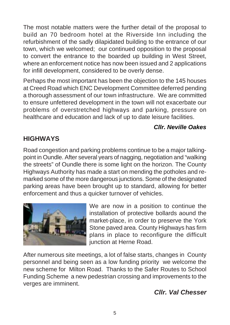The most notable matters were the further detail of the proposal to build an 70 bedroom hotel at the Riverside Inn including the refurbishment of the sadly dilapidated building to the entrance of our town, which we welcomed; our continued opposition to the proposal to convert the entrance to the boarded up building in West Street, where an enforcement notice has now been issued and 2 applications for infill development, considered to be overly dense.

Perhaps the most important has been the objection to the 145 houses at Creed Road which ENC Development Committee deferred pending a thorough assessment of our town infrastructure. We are committed to ensure unfettered development in the town will not exacerbate our problems of overstretched highways and parking, pressure on healthcare and education and lack of up to date leisure facilities.

### *Cllr. Neville Oakes*

## **HIGHWAYS**

Road congestion and parking problems continue to be a major talkingpoint in Oundle. After several years of nagging, negotiation and "walking the streets" of Oundle there is some light on the horizon. The County Highways Authority has made a start on mending the potholes and remarked some of the more dangerous junctions. Some of the designated parking areas have been brought up to standard, allowing for better enforcement and thus a quicker turnover of vehicles.



We are now in a position to continue the installation of protective bollards aound the market-place, in order to preserve the York Stone paved area. County Highways has firm plans in place to reconfigure the difficult junction at Herne Road.

After numerous site meetings, a lot of false starts, changes in County personnel and being seen as a low funding priority we welcome the new scheme for Milton Road. Thanks to the Safer Routes to School Funding Scheme a new pedestrian crossing and improvements to the verges are imminent.

### *Cllr. Val Chesser*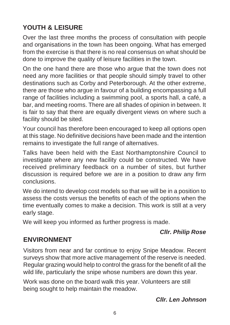# **YOUTH & LEISURE**

Over the last three months the process of consultation with people and organisations in the town has been ongoing. What has emerged from the exercise is that there is no real consensus on what should be done to improve the quality of leisure facilities in the town.

On the one hand there are those who argue that the town does not need any more facilities or that people should simply travel to other destinations such as Corby and Peterborough. At the other extreme, there are those who argue in favour of a building encompassing a full range of facilities including a swimming pool, a sports hall, a café, a bar, and meeting rooms. There are all shades of opinion in between. It is fair to say that there are equally divergent views on where such a facility should be sited.

Your council has therefore been encouraged to keep all options open at this stage. No definitive decisions have been made and the intention remains to investigate the full range of alternatives.

Talks have been held with the East Northamptonshire Council to investigate where any new facility could be constructed. We have received preliminary feedback on a number of sites, but further discussion is required before we are in a position to draw any firm conclusions.

We do intend to develop cost models so that we will be in a position to assess the costs versus the benefits of each of the options when the time eventually comes to make a decision. This work is still at a very early stage.

We will keep you informed as further progress is made.

### *Cllr. Philip Rose*

# **ENVIRONMENT**

Visitors from near and far continue to enjoy Snipe Meadow. Recent surveys show that more active management of the reserve is needed. Regular grazing would help to control the grass for the benefit of all the wild life, particularly the snipe whose numbers are down this year.

Work was done on the board walk this year. Volunteers are still being sought to help maintain the meadow.

### *Cllr. Len Johnson*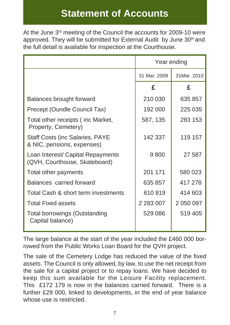# **Statement of Accounts**

At the June 3<sup>rd</sup> meeting of the Council the accounts for 2009-10 were approved. They will be submitted for External Audit by June 30<sup>th</sup> and the full detail is available for inspection at the Courthouse.

|                                                                      | Year ending   |             |
|----------------------------------------------------------------------|---------------|-------------|
|                                                                      | 31 Mar. 2009  | 31Mar. 2010 |
|                                                                      | £             | £           |
| Balances brought forward                                             | 210 030       | 635 857     |
| Precept (Oundle Council Tax)                                         | 192 000       | 225 035     |
| Total other receipts (inc Market,<br>Property, Cemetery)             | 587, 135      | 283 153     |
| <b>Staff Costs (inc Salaries, PAYE</b><br>& NIC, pensions, expenses) | 142 337       | 119 157     |
| Loan Interest/ Capital Repayments<br>(QVH, Courthouse, Skateboard)   | 9800          | 27 587      |
| Total other payments                                                 | 201 171       | 580 023     |
| Balances carried forward                                             | 635 857       | 417 278     |
| Total Cash & short term investments                                  | 610819        | 414 603     |
| <b>Total Fixed assets</b>                                            | 2 2 8 3 0 0 7 | 2 050 097   |
| <b>Total borrowings (Outstanding</b><br>Capital balance)             | 529 086       | 519 405     |

The large balance at the start of the year included the £460 000 borrowed from the Public Works Loan Board for the QVH project.

The sale of the Cemetery Lodge has reduced the value of the fixed assets. The Council is only allowed, by law, to use the net receipt from the sale for a capital project or to repay loans. We have decided to keep this sum available for the Leisure Facility replacement. This £172 179 is now in the balances carried forward. There is a further £29 000, linked to developments, in the end of year balance whose use is restricted.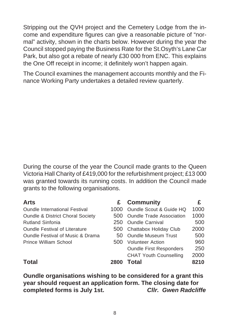Stripping out the QVH project and the Cemetery Lodge from the income and expenditure figures can give a reasonable picture of "normal" activity, shown in the charts below. However during the year the Council stopped paying the Business Rate for the St.Osyth's Lane Car Park, but also got a rebate of nearly £30 000 from ENC. This explains the One Off receipt in income; it definitely won't happen again.

The Council examines the management accounts monthly and the Finance Working Party undertakes a detailed review quarterly.

During the course of the year the Council made grants to the Queen Victoria Hall Charity of £419,000 for the refurbishment project; £13 000 was granted towards its running costs. In addition the Council made grants to the following organisations.

| <b>Arts</b>                                 | £.   | <b>Community</b>                | £    |
|---------------------------------------------|------|---------------------------------|------|
| <b>Oundle International Festival</b>        | 1000 | Oundle Scout & Guide HQ         | 1000 |
| <b>Oundle &amp; District Choral Society</b> | 500  | <b>Oundle Trade Association</b> | 1000 |
| <b>Rutland Sinfonia</b>                     | 250  | <b>Oundle Carnival</b>          | 500  |
| <b>Oundle Festival of Literature</b>        |      | 500 Chattabox Holiday Club      | 2000 |
| <b>Oundle Festival of Music &amp; Drama</b> | 50.  | <b>Oundle Museum Trust</b>      | 500  |
| Prince William School                       | 500  | <b>Volunteer Action</b>         | 960  |
|                                             |      | <b>Oundle First Responders</b>  | 250  |
|                                             |      | <b>CHAT Youth Counselling</b>   | 2000 |
| Total                                       | 2800 | Total                           | 8210 |

**Oundle organisations wishing to be considered for a grant this year should request an application form. The closing date for completed forms is July 1st.** *Cllr. Gwen Radcliffe*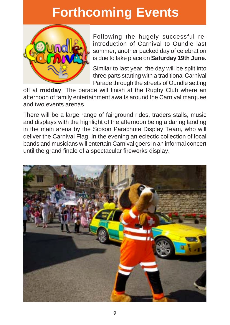# **Forthcoming Events**



Following the hugely successful reintroduction of Carnival to Oundle last summer, another packed day of celebration is due to take place on **Saturday 19th June.**

Similar to last year, the day will be split into three parts starting with a traditional Carnival Parade through the streets of Oundle setting

off at **midday**. The parade will finish at the Rugby Club where an afternoon of family entertainment awaits around the Carnival marquee and two events arenas.

In the main arena by the Sibson Parachute Display Team, who will<br>
deliver the Carnival Flag, In the evening an eclectic collection of local bands and musicians will entertain Carnival goers in an informal concert<br>until the grand finale of a spectacular fireworks display. There will be a large range of fairground rides, traders stalls, music and displays with the highlight of the afternoon being a daring landing deliver the Carnival Flag. In the evening an eclectic collection of local until the grand finale of a spectacular fireworks display.

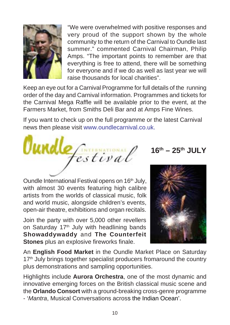

"We were overwhelmed with positive responses and very proud of the support shown by the whole community to the return of the Carnival to Oundle last summer." commented Carnival Chairman, Philip Amps. "The important points to remember are that everything is free to attend, there will be something for everyone and if we do as well as last year we will raise thousands for local charities".

Keep an eye out for a Carnival Programme for full details of the running order of the day and Carnival information. Programmes and tickets for the Carnival Mega Raffle will be available prior to the event, at the Farmers Market, from Smiths Deli Bar and at Amps Fine Wines.

If you want to check up on the full programme or the latest Carnival news then please visit www.oundlecarnival.co.uk.



**16th – 25th JULY**

Oundle International Festival opens on 16<sup>th</sup> July, with almost 30 events featuring high calibre artists from the worlds of classical music, folk and world music, alongside children's events, open-air theatre, exhibitions and organ recitals.

Join the party with over 5,000 other revellers on Saturday 17<sup>th</sup> July with headlining bands **Showaddywaddy** and **The Counterfeit Stones** plus an explosive fireworks finale.



An **English Food Market** in the Oundle Market Place on Saturday 17<sup>th</sup> July brings together specialist producers fromaround the country plus demonstrations and sampling opportunities.

Highlights include **Aurora Orchestra**, one of the most dynamic and innovative emerging forces on the British classical music scene and the **Orlando Consort** with a ground-breaking cross-genre programme - '*Mantra*, Musical Conversations across the Indian Ocean'.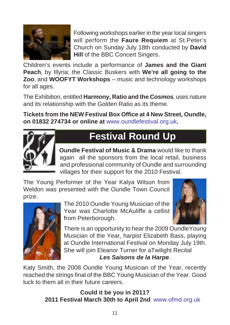

Following workshops earlier in the year local singers will perform the **Faure Requiem** at St.Peter's Church on Sunday July 18th conducted by **David Hill** of the BBC Concert Singers.

Children's events include a performance of **James and the Giant Peach**, by Illyria; the Classic Buskers with We're all going to the **Zoo**, and **WOOFYT Workshops** – music and technology workshops for all ages.

The Exhibition, entitled **Harmony, Ratio and the Cosmos**' uses nature and its relationship with the Golden Ratio as its theme.

**Tickets from the NEW Festival Box Office at 4 New Street, Oundle, on 01832 274734 or online at** www.oundlefestival.org.uk**.**



# **Festival Round Up**

**Oundle Festival of Music & Drama** would like to thank again all the sponsors from the local retail, business and professional community of Oundle and surrounding villages for their support for the 2010 Festival.

The Young Performer of the Year Kalya Wilson from Weldon was presented with the Oundle Town Council prize.



The 2010 Oundle Young Musician of the Year was Charlotte McAuliffe a cellist from Peterborough.



There is an opportunity to hear the 2009 OundleYoung Musician of the Year, harpist Elizabeth Bass, playing at Oundle International Festival on Monday July 19th. She will join Eleanor Turner for aTwilight Recital *Les Saisons de la Harpe*.

Katy Smith, the 2008 Oundle Young Musician of the Year, recently reached the strings final of the BBC Young Musician of the Year. Good luck to them all in their future careers.

> **Could it be you in 2011? 2011 Festival March 30th to April 2nd** www.ofmd.org.uk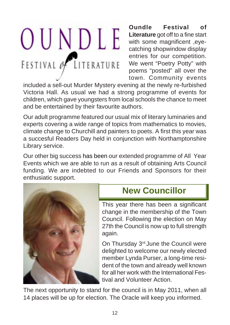# OUNDLE FESTIVAL OF LITERATURE

**Oundle Festival of Literature** got off to a fine start with some magnificent ,eyecatching shopwindow display entries for our competition. We went "Poetry Potty" with poems "posted" all over the town. Community events

included a sell-out Murder Mystery evening at the newly re-furbished Victoria Hall. As usual we had a strong programme of events for children, which gave youngsters from local schools the chance to meet and be entertained by their favourite authors.

Our adult programme featured our usual mix of literary luminaries and experts covering a wide range of topics from mathematics to movies, climate change to Churchill and painters to poets. A first this year was a succesful Readers Day held in conjunction with Northamptonshire Library service.

Our other big success has been our extended programme of All Year Events which we are able to run as a result of obtaining Arts Council funding. We are indebted to our Friends and Sponsors for their enthusiatic support.



# **New Councillor**

This year there has been a significant change in the membership of the Town Council. Following the election on May 27th the Council is now up to full strength again.

On Thursday 3rd June the Council were delighted to welcome our newly elected member Lynda Purser, a long-time resident of the town and already well known for all her work with the International Festival and Volunteer Action.

The next opportunity to stand for the council is in May 2011, when all 14 places will be up for election. The Oracle will keep you informed.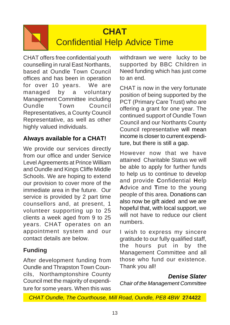# **CHAT** Confidential Help Advice Time

CHAT offers free confidential youth counselling in rural East Northants, based at Oundle Town Council offices and has been in operation for over 10 years. We are managed by a voluntary Management Committee including Oundle Town Council Representatives, a County Council Representative, as well as other highly valued individuals.

### **Always available for a CHAT!**

We provide our services directly from our office and under Service Level Agreements at Prince William and Oundle and Kings Cliffe Middle Schools. We are hoping to extend our provision to cover more of the immediate area in the future. Our service is provided by 2 part time counsellors and, at present, 1 volunteer supporting up to 25 clients a week aged from 9 to 25 years. CHAT operates on an appointment system and our contact details are below.

### **Funding**

After development funding from Oundle and Thrapston Town Councils, Northamptonshire County Council met the majority of expenditure for some years. When this was withdrawn we were lucky to be supported by BBC Children in Need funding which has just come to an end.

CHAT is now in the very fortunate position of being supported by the PCT (Primary Care Trust) who are offering a grant for one year. The continued support of Oundle Town Council and our Northants County Council representative will mean income is closer to current expenditure, but there is still a gap.

However now that we have attained Charitable Status we will be able to apply for further funds to help us to continue to develop and provide **C**onfidential **H**elp **A**dvice and **T**ime to the young people of this area. Donations can also now be gift aided and we are hopeful that, with local support, we will not have to reduce our client numbers.

I wish to express my sincere gratitude to our fully qualified staff, the hours put in by the Management Committee and all those who fund our existence. Thank you all!

*Denise Slater*

*Chair of the Management Committee*

*CHAT Oundle, The Courthouse, Mill Road, Oundle, PE8 4BW* **274422**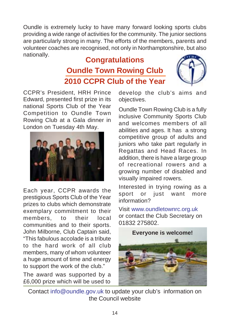Oundle is extremely lucky to have many forward looking sports clubs providing a wide range of activities for the community. The junior sections are particularly strong in many. The efforts of the members, parents and volunteer coaches are recognised, not only in Northamptonshire, but also nationally.

# **Congratulations Oundle Town Rowing Club 2010 CCPR Club of the Year**



CCPR's President, HRH Prince Edward, presented first prize in its national Sports Club of the Year Competition to Oundle Town Rowing Club at a Gala dinner in London on Tuesday 4th May.



Each year, CCPR awards the prestigious Sports Club of the Year prizes to clubs which demonstrate exemplary commitment to their members, to their local communities and to their sports. John Milborne, Club Captain said, "This fabulous accolade is a tribute to the hard work of all club members, many of whom volunteer a huge amount of time and energy to support the work of the club."

The award was supported by a £6,000 prize which will be used to

develop the club's aims and objectives.

Oundle Town Rowing Club is a fully inclusive Community Sports Club and welcomes members of all abilities and ages. It has a strong competitive group of adults and juniors who take part regularly in Regattas and Head Races. In addition, there is have a large group of recreational rowers and a growing number of disabled and visually impaired rowers.

Interested in trying rowing as a sport or just want more information?

Visit www.oundletownrc.org.uk or contact the Club Secretary on 01832 275802.



Contact info@oundle.gov.uk to update your club's information on the Council website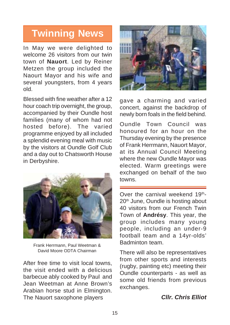# **Twinning News**

In May we were delighted to welcome 26 visitors from our twin town of **Nauort**. Led by Reiner Metzen the group included the Naourt Mayor and his wife and several youngsters, from 4 years old.

Blessed with fine weather after a 12 hour coach trip overnight, the group, accompanied by their Oundle host families (many of whom had not hosted before). The varied programme enjoyed by all included a splendid evening meal with music by the visitors at Oundle Golf Club and a day out to Chatsworth House in Derbyshire.



Frank Herrmann, Paul Weetman & David Moore ODTA Chairman

After free time to visit local towns, the visit ended with a delicious barbecue ably cooked by Paul and Jean Weetman at Anne Brown's Arabian horse stud in Elmington. The Nauort saxophone players



gave a charming and varied concert, against the backdrop of newly born foals in the field behind.

Oundle Town Council was honoured for an hour on the Thursday evening by the presence of Frank Herrmann, Nauort Mayor, at its Annual Council Meeting where the new Oundle Mayor was elected. Warm greetings were exchanged on behalf of the two towns.

Over the carnival weekend  $19<sup>th</sup>$ -20<sup>th</sup> June, Oundle is hosting about 40 visitors from our French Twin Town of **Andrésy**. This year, the group includes many young people, including an under-9 football team and a 14yr-olds' Badminton team.

There will also be representatives from other sports and interests (rugby, painting etc) meeting their Oundle counterparts - as well as some old friends from previous exchanges.

#### *Cllr. Chris Elliot*